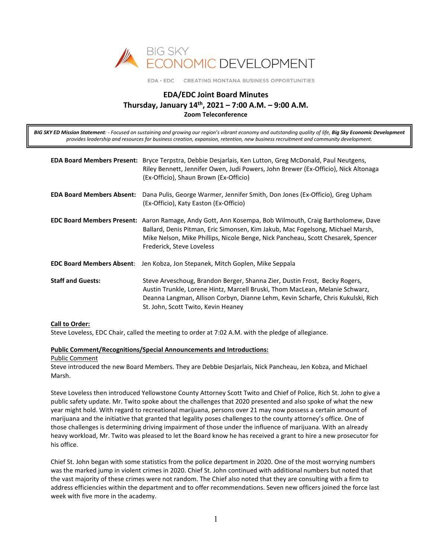

EDA · EDC CREATING MONTANA BUSINESS OPPORTUNITIES

# **EDA/EDC Joint Board Minutes Thursday, January 14th, 2021 – 7:00 A.M. – 9:00 A.M. Zoom Teleconference**

*BIG SKY ED Mission Statement: - Focused on sustaining and growing our region's vibrant economy and outstanding quality of life, Big Sky Economic Development provides leadership and resources for business creation, expansion, retention, new business recruitment and community development.*

|                                  | EDA Board Members Present: Bryce Terpstra, Debbie Desjarlais, Ken Lutton, Greg McDonald, Paul Neutgens,<br>Riley Bennett, Jennifer Owen, Judi Powers, John Brewer (Ex-Officio), Nick Altonaga<br>(Ex-Officio), Shaun Brown (Ex-Officio)                                                                   |
|----------------------------------|-----------------------------------------------------------------------------------------------------------------------------------------------------------------------------------------------------------------------------------------------------------------------------------------------------------|
| <b>EDA Board Members Absent:</b> | Dana Pulis, George Warmer, Jennifer Smith, Don Jones (Ex-Officio), Greg Upham<br>(Ex-Officio), Katy Easton (Ex-Officio)                                                                                                                                                                                   |
|                                  | EDC Board Members Present: Aaron Ramage, Andy Gott, Ann Kosempa, Bob Wilmouth, Craig Bartholomew, Dave<br>Ballard, Denis Pitman, Eric Simonsen, Kim Jakub, Mac Fogelsong, Michael Marsh,<br>Mike Nelson, Mike Phillips, Nicole Benge, Nick Pancheau, Scott Chesarek, Spencer<br>Frederick, Steve Loveless |
|                                  | <b>EDC Board Members Absent:</b> Jen Kobza, Jon Stepanek, Mitch Goplen, Mike Seppala                                                                                                                                                                                                                      |
| <b>Staff and Guests:</b>         | Steve Arveschoug, Brandon Berger, Shanna Zier, Dustin Frost, Becky Rogers,<br>Austin Trunkle, Lorene Hintz, Marcell Bruski, Thom MacLean, Melanie Schwarz,<br>Deanna Langman, Allison Corbyn, Dianne Lehm, Kevin Scharfe, Chris Kukulski, Rich<br>St. John, Scott Twito, Kevin Heaney                     |

### **Call to Order:**

Steve Loveless, EDC Chair, called the meeting to order at 7:02 A.M. with the pledge of allegiance.

#### **Public Comment/Recognitions/Special Announcements and Introductions:**

#### Public Comment

Steve introduced the new Board Members. They are Debbie Desjarlais, Nick Pancheau, Jen Kobza, and Michael Marsh.

Steve Loveless then introduced Yellowstone County Attorney Scott Twito and Chief of Police, Rich St. John to give a public safety update. Mr. Twito spoke about the challenges that 2020 presented and also spoke of what the new year might hold. With regard to recreational marijuana, persons over 21 may now possess a certain amount of marijuana and the initiative that granted that legality poses challenges to the county attorney's office. One of those challenges is determining driving impairment of those under the influence of marijuana. With an already heavy workload, Mr. Twito was pleased to let the Board know he has received a grant to hire a new prosecutor for his office.

Chief St. John began with some statistics from the police department in 2020. One of the most worrying numbers was the marked jump in violent crimes in 2020. Chief St. John continued with additional numbers but noted that the vast majority of these crimes were not random. The Chief also noted that they are consulting with a firm to address efficiencies within the department and to offer recommendations. Seven new officers joined the force last week with five more in the academy.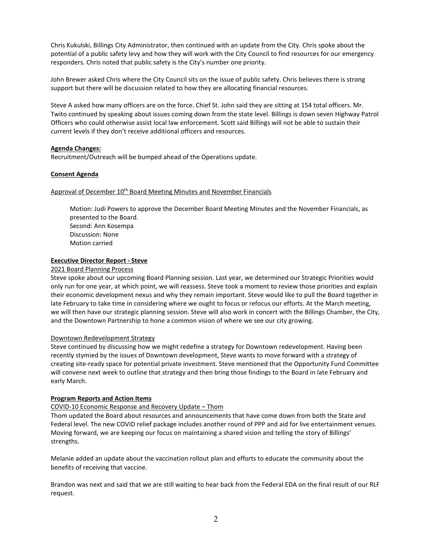Chris Kukulski, Billings City Administrator, then continued with an update from the City. Chris spoke about the potential of a public safety levy and how they will work with the City Council to find resources for our emergency responders. Chris noted that public safety is the City's number one priority.

John Brewer asked Chris where the City Council sits on the issue of public safety. Chris believes there is strong support but there will be discussion related to how they are allocating financial resources.

Steve A asked how many officers are on the force. Chief St. John said they are sitting at 154 total officers. Mr. Twito continued by speaking about issues coming down from the state level. Billings is down seven Highway Patrol Officers who could otherwise assist local law enforcement. Scott said Billings will not be able to sustain their current levels if they don't receive additional officers and resources.

### **Agenda Changes:**

Recruitment/Outreach will be bumped ahead of the Operations update.

### **Consent Agenda**

### Approval of December 10<sup>th</sup> Board Meeting Minutes and November Financials

Motion: Judi Powers to approve the December Board Meeting Minutes and the November Financials, as presented to the Board. Second: Ann Kosempa Discussion: None Motion carried

### **Executive Director Report - Steve**

### 2021 Board Planning Process

Steve spoke about our upcoming Board Planning session. Last year, we determined our Strategic Priorities would only run for one year, at which point, we will reassess. Steve took a moment to review those priorities and explain their economic development nexus and why they remain important. Steve would like to pull the Board together in late February to take time in considering where we ought to focus or refocus our efforts. At the March meeting, we will then have our strategic planning session. Steve will also work in concert with the Billings Chamber, the City, and the Downtown Partnership to hone a common vision of where we see our city growing.

### Downtown Redevelopment Strategy

Steve continued by discussing how we might redefine a strategy for Downtown redevelopment. Having been recently stymied by the issues of Downtown development, Steve wants to move forward with a strategy of creating site-ready space for potential private investment. Steve mentioned that the Opportunity Fund Committee will convene next week to outline that strategy and then bring those findings to the Board in late February and early March.

### **Program Reports and Action Items**

## COVID-10 Economic Response and Recovery Update – Thom

Thom updated the Board about resources and announcements that have come down from both the State and Federal level. The new COVID relief package includes another round of PPP and aid for live entertainment venues. Moving forward, we are keeping our focus on maintaining a shared vision and telling the story of Billings' strengths.

Melanie added an update about the vaccination rollout plan and efforts to educate the community about the benefits of receiving that vaccine.

Brandon was next and said that we are still waiting to hear back from the Federal EDA on the final result of our RLF request.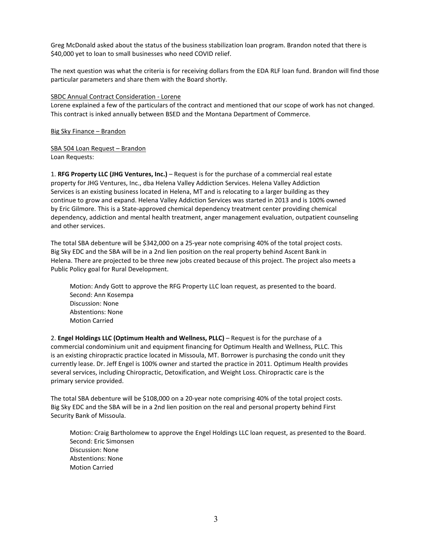Greg McDonald asked about the status of the business stabilization loan program. Brandon noted that there is \$40,000 yet to loan to small businesses who need COVID relief.

The next question was what the criteria is for receiving dollars from the EDA RLF loan fund. Brandon will find those particular parameters and share them with the Board shortly.

### SBDC Annual Contract Consideration - Lorene

Lorene explained a few of the particulars of the contract and mentioned that our scope of work has not changed. This contract is inked annually between BSED and the Montana Department of Commerce.

Big Sky Finance – Brandon

SBA 504 Loan Request – Brandon Loan Requests:

1. **RFG Property LLC (JHG Ventures, Inc.)** – Request is for the purchase of a commercial real estate property for JHG Ventures, Inc., dba Helena Valley Addiction Services. Helena Valley Addiction Services is an existing business located in Helena, MT and is relocating to a larger building as they continue to grow and expand. Helena Valley Addiction Services was started in 2013 and is 100% owned by Eric Gilmore. This is a State-approved chemical dependency treatment center providing chemical dependency, addiction and mental health treatment, anger management evaluation, outpatient counseling and other services.

The total SBA debenture will be \$342,000 on a 25-year note comprising 40% of the total project costs. Big Sky EDC and the SBA will be in a 2nd lien position on the real property behind Ascent Bank in Helena. There are projected to be three new jobs created because of this project. The project also meets a Public Policy goal for Rural Development.

Motion: Andy Gott to approve the RFG Property LLC loan request, as presented to the board. Second: Ann Kosempa Discussion: None Abstentions: None Motion Carried

2. **Engel Holdings LLC (Optimum Health and Wellness, PLLC)** – Request is for the purchase of a commercial condominium unit and equipment financing for Optimum Health and Wellness, PLLC. This is an existing chiropractic practice located in Missoula, MT. Borrower is purchasing the condo unit they currently lease. Dr. Jeff Engel is 100% owner and started the practice in 2011. Optimum Health provides several services, including Chiropractic, Detoxification, and Weight Loss. Chiropractic care is the primary service provided.

The total SBA debenture will be \$108,000 on a 20-year note comprising 40% of the total project costs. Big Sky EDC and the SBA will be in a 2nd lien position on the real and personal property behind First Security Bank of Missoula.

Motion: Craig Bartholomew to approve the Engel Holdings LLC loan request, as presented to the Board. Second: Eric Simonsen Discussion: None Abstentions: None Motion Carried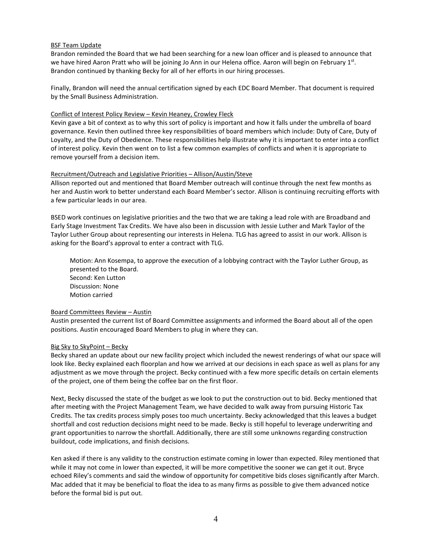### BSF Team Update

Brandon reminded the Board that we had been searching for a new loan officer and is pleased to announce that we have hired Aaron Pratt who will be joining Jo Ann in our Helena office. Aaron will begin on February 1st. Brandon continued by thanking Becky for all of her efforts in our hiring processes.

Finally, Brandon will need the annual certification signed by each EDC Board Member. That document is required by the Small Business Administration.

### Conflict of Interest Policy Review – Kevin Heaney, Crowley Fleck

Kevin gave a bit of context as to why this sort of policy is important and how it falls under the umbrella of board governance. Kevin then outlined three key responsibilities of board members which include: Duty of Care, Duty of Loyalty, and the Duty of Obedience. These responsibilities help illustrate why it is important to enter into a conflict of interest policy. Kevin then went on to list a few common examples of conflicts and when it is appropriate to remove yourself from a decision item.

### Recruitment/Outreach and Legislative Priorities – Allison/Austin/Steve

Allison reported out and mentioned that Board Member outreach will continue through the next few months as her and Austin work to better understand each Board Member's sector. Allison is continuing recruiting efforts with a few particular leads in our area.

BSED work continues on legislative priorities and the two that we are taking a lead role with are Broadband and Early Stage Investment Tax Credits. We have also been in discussion with Jessie Luther and Mark Taylor of the Taylor Luther Group about representing our interests in Helena. TLG has agreed to assist in our work. Allison is asking for the Board's approval to enter a contract with TLG.

Motion: Ann Kosempa, to approve the execution of a lobbying contract with the Taylor Luther Group, as presented to the Board. Second: Ken Lutton Discussion: None Motion carried

### Board Committees Review – Austin

Austin presented the current list of Board Committee assignments and informed the Board about all of the open positions. Austin encouraged Board Members to plug in where they can.

### Big Sky to SkyPoint – Becky

Becky shared an update about our new facility project which included the newest renderings of what our space will look like. Becky explained each floorplan and how we arrived at our decisions in each space as well as plans for any adjustment as we move through the project. Becky continued with a few more specific details on certain elements of the project, one of them being the coffee bar on the first floor.

Next, Becky discussed the state of the budget as we look to put the construction out to bid. Becky mentioned that after meeting with the Project Management Team, we have decided to walk away from pursuing Historic Tax Credits. The tax credits process simply poses too much uncertainty. Becky acknowledged that this leaves a budget shortfall and cost reduction decisions might need to be made. Becky is still hopeful to leverage underwriting and grant opportunities to narrow the shortfall. Additionally, there are still some unknowns regarding construction buildout, code implications, and finish decisions.

Ken asked if there is any validity to the construction estimate coming in lower than expected. Riley mentioned that while it may not come in lower than expected, it will be more competitive the sooner we can get it out. Bryce echoed Riley's comments and said the window of opportunity for competitive bids closes significantly after March. Mac added that it may be beneficial to float the idea to as many firms as possible to give them advanced notice before the formal bid is put out.